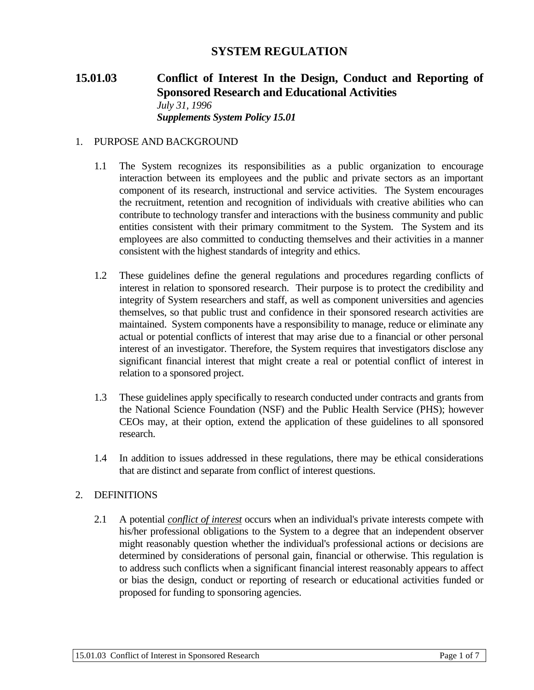# **SYSTEM REGULATION**

# **15.01.03 Conflict of Interest In the Design, Conduct and Reporting of Sponsored Research and Educational Activities**  *July 31, 1996 Supplements System Policy 15.01*

#### 1. PURPOSE AND BACKGROUND

- 1.1 The System recognizes its responsibilities as a public organization to encourage interaction between its employees and the public and private sectors as an important component of its research, instructional and service activities. The System encourages the recruitment, retention and recognition of individuals with creative abilities who can contribute to technology transfer and interactions with the business community and public entities consistent with their primary commitment to the System. The System and its employees are also committed to conducting themselves and their activities in a manner consistent with the highest standards of integrity and ethics.
- 1.2 These guidelines define the general regulations and procedures regarding conflicts of interest in relation to sponsored research. Their purpose is to protect the credibility and integrity of System researchers and staff, as well as component universities and agencies themselves, so that public trust and confidence in their sponsored research activities are maintained. System components have a responsibility to manage, reduce or eliminate any actual or potential conflicts of interest that may arise due to a financial or other personal interest of an investigator. Therefore, the System requires that investigators disclose any significant financial interest that might create a real or potential conflict of interest in relation to a sponsored project.
- 1.3 These guidelines apply specifically to research conducted under contracts and grants from the National Science Foundation (NSF) and the Public Health Service (PHS); however CEOs may, at their option, extend the application of these guidelines to all sponsored research.
- 1.4 In addition to issues addressed in these regulations, there may be ethical considerations that are distinct and separate from conflict of interest questions.

#### 2. DEFINITIONS

2.1 A potential *conflict of interest* occurs when an individual's private interests compete with his/her professional obligations to the System to a degree that an independent observer might reasonably question whether the individual's professional actions or decisions are determined by considerations of personal gain, financial or otherwise. This regulation is to address such conflicts when a significant financial interest reasonably appears to affect or bias the design, conduct or reporting of research or educational activities funded or proposed for funding to sponsoring agencies.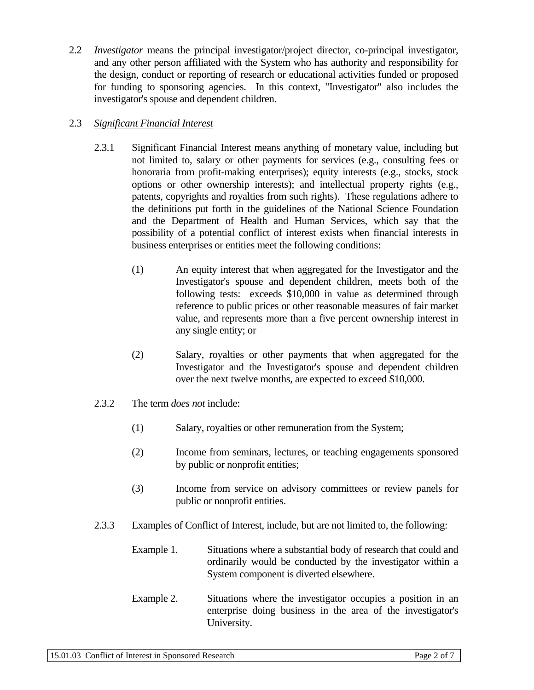2.2 *Investigator* means the principal investigator/project director, co-principal investigator, and any other person affiliated with the System who has authority and responsibility for the design, conduct or reporting of research or educational activities funded or proposed for funding to sponsoring agencies. In this context, "Investigator" also includes the investigator's spouse and dependent children.

### 2.3 *Significant Financial Interest*

- 2.3.1 Significant Financial Interest means anything of monetary value, including but not limited to, salary or other payments for services (e.g., consulting fees or honoraria from profit-making enterprises); equity interests (e.g., stocks, stock options or other ownership interests); and intellectual property rights (e.g., patents, copyrights and royalties from such rights). These regulations adhere to the definitions put forth in the guidelines of the National Science Foundation and the Department of Health and Human Services, which say that the possibility of a potential conflict of interest exists when financial interests in business enterprises or entities meet the following conditions:
	- (1) An equity interest that when aggregated for the Investigator and the Investigator's spouse and dependent children, meets both of the following tests: exceeds \$10,000 in value as determined through reference to public prices or other reasonable measures of fair market value, and represents more than a five percent ownership interest in any single entity; or
	- (2) Salary, royalties or other payments that when aggregated for the Investigator and the Investigator's spouse and dependent children over the next twelve months, are expected to exceed \$10,000.
- 2.3.2 The term *does not* include:
	- (1) Salary, royalties or other remuneration from the System;
	- (2) Income from seminars, lectures, or teaching engagements sponsored by public or nonprofit entities;
	- (3) Income from service on advisory committees or review panels for public or nonprofit entities.
- 2.3.3 Examples of Conflict of Interest, include, but are not limited to, the following:
	- Example 1. Situations where a substantial body of research that could and ordinarily would be conducted by the investigator within a System component is diverted elsewhere.
	- Example 2. Situations where the investigator occupies a position in an enterprise doing business in the area of the investigator's University.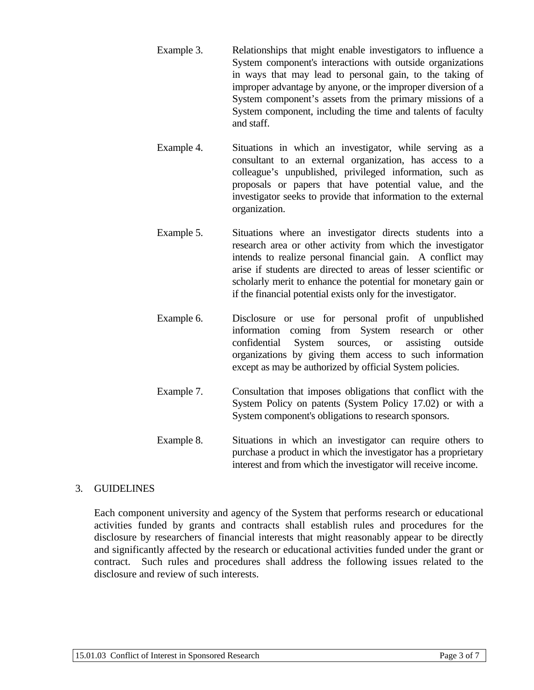- Example 3. Relationships that might enable investigators to influence a System component's interactions with outside organizations in ways that may lead to personal gain, to the taking of improper advantage by anyone, or the improper diversion of a System component's assets from the primary missions of a System component, including the time and talents of faculty and staff.
- Example 4. Situations in which an investigator, while serving as a consultant to an external organization, has access to a colleague's unpublished, privileged information, such as proposals or papers that have potential value, and the investigator seeks to provide that information to the external organization.
- Example 5. Situations where an investigator directs students into a research area or other activity from which the investigator intends to realize personal financial gain. A conflict may arise if students are directed to areas of lesser scientific or scholarly merit to enhance the potential for monetary gain or if the financial potential exists only for the investigator.
- Example 6. Disclosure or use for personal profit of unpublished information coming from System research or other confidential System sources, or assisting outside organizations by giving them access to such information except as may be authorized by official System policies.
- Example 7. Consultation that imposes obligations that conflict with the System Policy on patents (System Policy 17.02) or with a System component's obligations to research sponsors.
- Example 8. Situations in which an investigator can require others to purchase a product in which the investigator has a proprietary interest and from which the investigator will receive income.

# 3. GUIDELINES

Each component university and agency of the System that performs research or educational activities funded by grants and contracts shall establish rules and procedures for the disclosure by researchers of financial interests that might reasonably appear to be directly and significantly affected by the research or educational activities funded under the grant or contract. Such rules and procedures shall address the following issues related to the disclosure and review of such interests.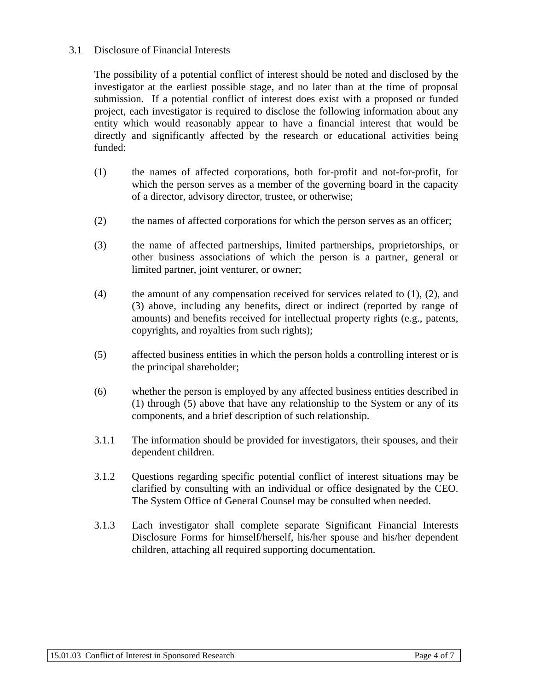#### 3.1 Disclosure of Financial Interests

The possibility of a potential conflict of interest should be noted and disclosed by the investigator at the earliest possible stage, and no later than at the time of proposal submission. If a potential conflict of interest does exist with a proposed or funded project, each investigator is required to disclose the following information about any entity which would reasonably appear to have a financial interest that would be directly and significantly affected by the research or educational activities being funded:

- (1) the names of affected corporations, both for-profit and not-for-profit, for which the person serves as a member of the governing board in the capacity of a director, advisory director, trustee, or otherwise;
- (2) the names of affected corporations for which the person serves as an officer;
- (3) the name of affected partnerships, limited partnerships, proprietorships, or other business associations of which the person is a partner, general or limited partner, joint venturer, or owner;
- (4) the amount of any compensation received for services related to  $(1)$ ,  $(2)$ , and (3) above, including any benefits, direct or indirect (reported by range of amounts) and benefits received for intellectual property rights (e.g., patents, copyrights, and royalties from such rights);
- (5) affected business entities in which the person holds a controlling interest or is the principal shareholder;
- (6) whether the person is employed by any affected business entities described in (1) through (5) above that have any relationship to the System or any of its components, and a brief description of such relationship.
- 3.1.1 The information should be provided for investigators, their spouses, and their dependent children.
- 3.1.2 Questions regarding specific potential conflict of interest situations may be clarified by consulting with an individual or office designated by the CEO. The System Office of General Counsel may be consulted when needed.
- 3.1.3 Each investigator shall complete separate Significant Financial Interests Disclosure Forms for himself/herself, his/her spouse and his/her dependent children, attaching all required supporting documentation.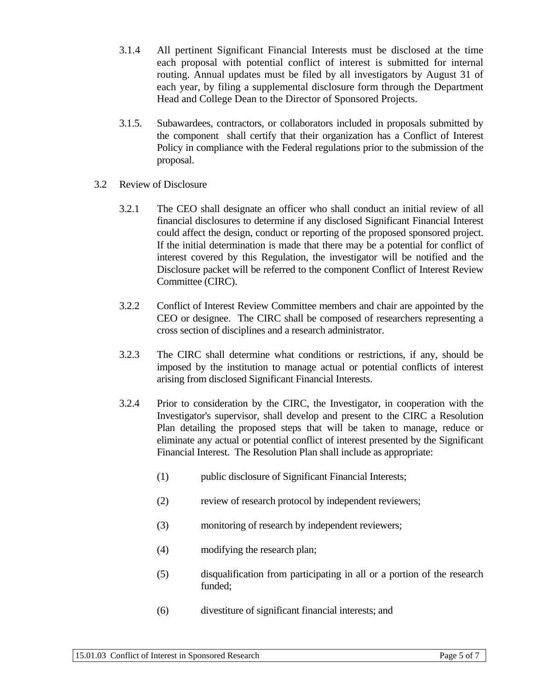- 3.1.4 All pertinent Significant Financial Interests must be disclosed at the time each proposal with potential conflict of interest is submitted for internal routing. Annual updates must be filed by all investigators by August 31 of each year, by filing a supplemental disclosure form through the Department Head and College Dean to the Director of Sponsored Projects.
- 3.1.5. Subawardees, contractors, or collaborators included in proposals submitted by the component shall certify that their organization has a Conflict of Interest Policy in compliance with the Federal regulations prior to the submission of the proposal.
- 3.2 Review of Disclosure
	- 3.2.1 The CEO shall designate an officer who shall conduct an initial review of all financial disclosures to determine if any disclosed Significant Financial Interest could affect the design, conduct or reporting of the proposed sponsored project. If the initial determination is made that there may be a potential for conflict of interest covered by this Regulation, the investigator will be notified and the Disclosure packet will be referred to the component Conflict of Interest Review Committee (CIRC).
	- 3.2.2 Conflict of Interest Review Committee members and chair are appointed by the CEO or designee. The CIRC shall be composed of researchers representing a cross section of disciplines and a research administrator.
	- 3.2.3 The CIRC shall determine what conditions or restrictions, if any, should be imposed by the institution to manage actual or potential conflicts of interest arising from disclosed Significant Financial Interests.
	- 3.2.4 Prior to consideration by the CIRC, the Investigator, in cooperation with the Investigator's supervisor, shall develop and present to the CIRC a Resolution Plan detailing the proposed steps that will be taken to manage, reduce or eliminate any actual or potential conflict of interest presented by the Significant Financial Interest. The Resolution Plan shall include as appropriate:
		- (1) public disclosure of Significant Financial Interests;
		- (2) review of research protocol by independent reviewers;
		- (3) monitoring of research by independent reviewers;
		- (4) modifying the research plan;
		- (5) disqualification from participating in all or a portion of the research funded;
		- (6) divestiture of significant financial interests; and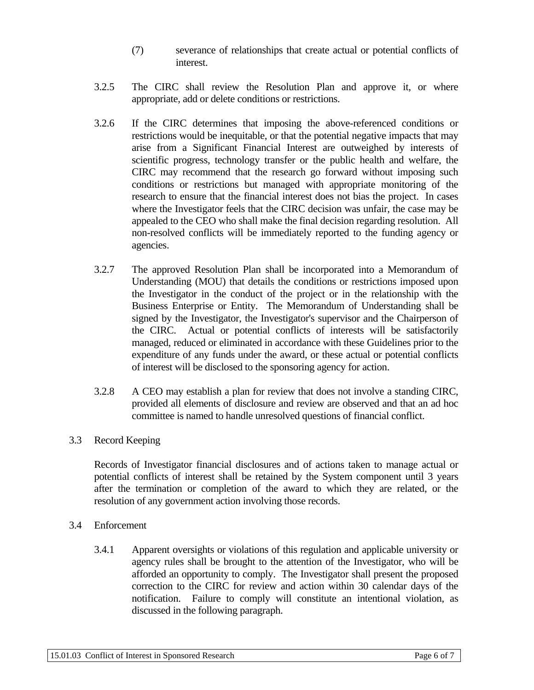- (7) severance of relationships that create actual or potential conflicts of interest.
- 3.2.5 The CIRC shall review the Resolution Plan and approve it, or where appropriate, add or delete conditions or restrictions.
- 3.2.6 If the CIRC determines that imposing the above-referenced conditions or restrictions would be inequitable, or that the potential negative impacts that may arise from a Significant Financial Interest are outweighed by interests of scientific progress, technology transfer or the public health and welfare, the CIRC may recommend that the research go forward without imposing such conditions or restrictions but managed with appropriate monitoring of the research to ensure that the financial interest does not bias the project. In cases where the Investigator feels that the CIRC decision was unfair, the case may be appealed to the CEO who shall make the final decision regarding resolution. All non-resolved conflicts will be immediately reported to the funding agency or agencies.
- 3.2.7 The approved Resolution Plan shall be incorporated into a Memorandum of Understanding (MOU) that details the conditions or restrictions imposed upon the Investigator in the conduct of the project or in the relationship with the Business Enterprise or Entity. The Memorandum of Understanding shall be signed by the Investigator, the Investigator's supervisor and the Chairperson of the CIRC. Actual or potential conflicts of interests will be satisfactorily managed, reduced or eliminated in accordance with these Guidelines prior to the expenditure of any funds under the award, or these actual or potential conflicts of interest will be disclosed to the sponsoring agency for action.
- 3.2.8 A CEO may establish a plan for review that does not involve a standing CIRC, provided all elements of disclosure and review are observed and that an ad hoc committee is named to handle unresolved questions of financial conflict.

### 3.3 Record Keeping

Records of Investigator financial disclosures and of actions taken to manage actual or potential conflicts of interest shall be retained by the System component until 3 years after the termination or completion of the award to which they are related, or the resolution of any government action involving those records.

### 3.4 Enforcement

3.4.1 Apparent oversights or violations of this regulation and applicable university or agency rules shall be brought to the attention of the Investigator, who will be afforded an opportunity to comply. The Investigator shall present the proposed correction to the CIRC for review and action within 30 calendar days of the notification. Failure to comply will constitute an intentional violation, as discussed in the following paragraph.